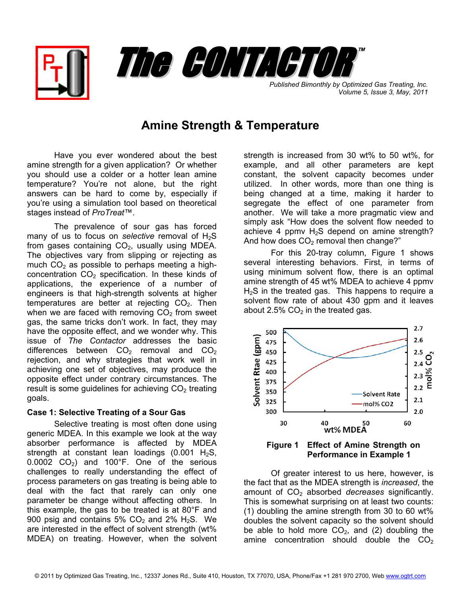



*Published Bimonthly by Optimized Gas Treating, Inc. Volume 5, Issue 3, May, 2011*

## **Amine Strength & Temperature**

Have you ever wondered about the best amine strength for a given application? Or whether you should use a colder or a hotter lean amine temperature? You're not alone, but the right answers can be hard to come by, especially if you're using a simulation tool based on theoretical stages instead of *ProTreat*™.

The prevalence of sour gas has forced many of us to focus on *selective* removal of  $H_2S$ from gases containing  $CO<sub>2</sub>$ , usually using MDEA. The objectives vary from slipping or rejecting as much  $CO<sub>2</sub>$  as possible to perhaps meeting a highconcentration  $CO<sub>2</sub>$  specification. In these kinds of applications, the experience of a number of engineers is that high-strength solvents at higher temperatures are better at rejecting  $CO<sub>2</sub>$ . Then when we are faced with removing  $CO<sub>2</sub>$  from sweet gas, the same tricks don't work. In fact, they may have the opposite effect, and we wonder why. This issue of *The Contactor* addresses the basic differences between  $CO<sub>2</sub>$  removal and  $CO<sub>2</sub>$ rejection, and why strategies that work well in achieving one set of objectives, may produce the opposite effect under contrary circumstances. The result is some guidelines for achieving  $CO<sub>2</sub>$  treating goals.

## **Case 1: Selective Treating of a Sour Gas**

 Selective treating is most often done using generic MDEA. In this example we look at the way absorber performance is affected by MDEA strength at constant lean loadings  $(0.001 H<sub>2</sub>S,$  $0.0002$  CO<sub>2</sub>) and 100°F. One of the serious challenges to really understanding the effect of process parameters on gas treating is being able to deal with the fact that rarely can only one parameter be change without affecting others. In this example, the gas to be treated is at 80°F and 900 psig and contains 5%  $CO<sub>2</sub>$  and 2% H<sub>2</sub>S. We are interested in the effect of solvent strength (wt% MDEA) on treating. However, when the solvent

strength is increased from 30 wt% to 50 wt%, for example, and all other parameters are kept constant, the solvent capacity becomes under utilized. In other words, more than one thing is being changed at a time, making it harder to segregate the effect of one parameter from another. We will take a more pragmatic view and simply ask "How does the solvent flow needed to achieve 4 ppmv  $H_2S$  depend on amine strength? And how does  $CO<sub>2</sub>$  removal then change?"

 For this 20-tray column, Figure 1 shows several interesting behaviors. First, in terms of using minimum solvent flow, there is an optimal amine strength of 45 wt% MDEA to achieve 4 ppmv  $H<sub>2</sub>S$  in the treated gas. This happens to require a solvent flow rate of about 430 gpm and it leaves about 2.5%  $CO<sub>2</sub>$  in the treated gas.



**Performance in Example 1** 

Of greater interest to us here, however, is the fact that as the MDEA strength is *increased*, the amount of CO<sub>2</sub> absorbed *decreases* significantly. This is somewhat surprising on at least two counts: (1) doubling the amine strength from 30 to 60 wt% doubles the solvent capacity so the solvent should be able to hold more  $CO<sub>2</sub>$ , and (2) doubling the amine concentration should double the  $CO<sub>2</sub>$